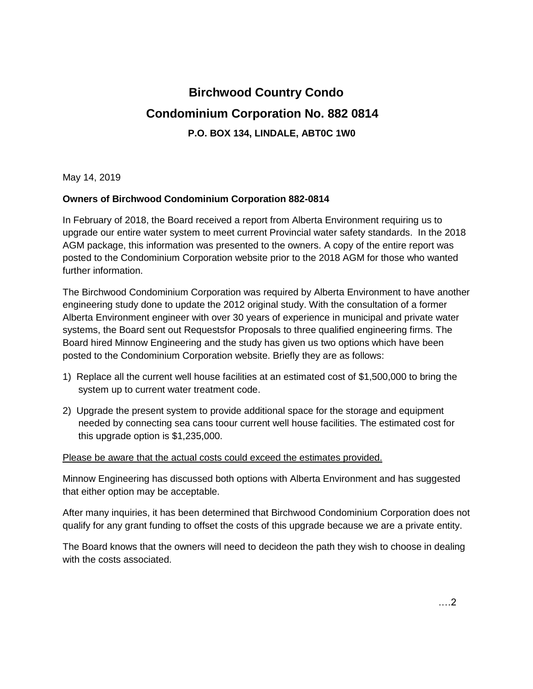# **Birchwood Country Condo Condominium Corporation No. 882 0814 P.O. BOX 134, LINDALE, ABT0C 1W0**

May 14, 2019

## **Owners of Birchwood Condominium Corporation 882-0814**

In February of 2018, the Board received a report from Alberta Environment requiring us to upgrade our entire water system to meet current Provincial water safety standards. In the 2018 AGM package, this information was presented to the owners. A copy of the entire report was posted to the Condominium Corporation website prior to the 2018 AGM for those who wanted further information.

The Birchwood Condominium Corporation was required by Alberta Environment to have another engineering study done to update the 2012 original study. With the consultation of a former Alberta Environment engineer with over 30 years of experience in municipal and private water systems, the Board sent out Requestsfor Proposals to three qualified engineering firms. The Board hired Minnow Engineering and the study has given us two options which have been posted to the Condominium Corporation website. Briefly they are as follows:

- 1) Replace all the current well house facilities at an estimated cost of \$1,500,000 to bring the system up to current water treatment code.
- 2) Upgrade the present system to provide additional space for the storage and equipment needed by connecting sea cans toour current well house facilities. The estimated cost for this upgrade option is \$1,235,000.

## Please be aware that the actual costs could exceed the estimates provided.

Minnow Engineering has discussed both options with Alberta Environment and has suggested that either option may be acceptable.

After many inquiries, it has been determined that Birchwood Condominium Corporation does not qualify for any grant funding to offset the costs of this upgrade because we are a private entity.

The Board knows that the owners will need to decideon the path they wish to choose in dealing with the costs associated.